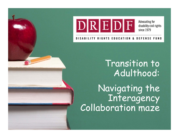

Advocating for disability civil rights since 1979

**DISABILITY RIGHTS EDUCATION DEFENSE FUND** 

> Transition to Adulthood:

Navigating the Interagency Collaboration maze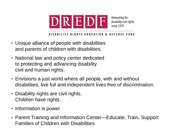

DISABILITY RIGHTS EDUCATION & DEFENSE FUND

- Unique alliance of people with disabilities and parents of children with disabilities.
- National law and policy center dedicated to protecting and advancing disability civil and human rights.
- Envisions a just world where all people, with and without disabilities, live full and independent lives free of discrimination.
- Disability rights are civil rights. Children have rights.
- Information is power.
- Parent Training and Information Center—Educate, Train, Support Families of Children with Disabilities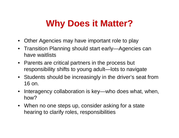### **Why Does it Matter?**

- $\bullet$ Other Agencies may have important role to play
- Transition Planning should start early—Agencies can have waitlists
- Parents are critical partners in the process but responsibility shifts to young adult—lots to navigate
- Students should be increasingly in the driver's seat from 16 on.
- Interagency collaboration is key—who does what, when, how?
- When no one steps up, consider asking for a state hearing to clarify roles, responsibilities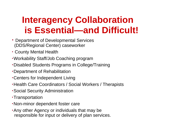### **Interagency Collaboration is Essential—and Difficult!**

- Department of Developmental Services (DDS/Regional Center) caseworker
- County Mental Health
- •Workability Staff/Job Coaching program
- •Disabled Students Programs in College/Training
- •Department of Rehabilitation
- •Centers for Independent Living
- •Health Care Coordinators / Social Workers / Therapists
- •Social Security Administration
- •Transportation
- •Non-minor dependent foster care
- •Any other Agency or individuals that may be responsible for input or delivery of plan services.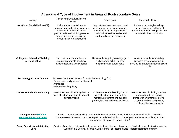#### **Agency and Type of Involvement in Areas of Postsecondary Goals**

| Agency                                                            | Postsecondary Education and<br>Training                                                                                                                                                                                                                               | Employment                                                                                                                                                                      | Independent Living                                                                                                                                                     |
|-------------------------------------------------------------------|-----------------------------------------------------------------------------------------------------------------------------------------------------------------------------------------------------------------------------------------------------------------------|---------------------------------------------------------------------------------------------------------------------------------------------------------------------------------|------------------------------------------------------------------------------------------------------------------------------------------------------------------------|
| <b>Vocational Rehabilitation (VR)</b>                             | Helps students participate in<br>postsecondary education; counsels<br>students on opportunities for<br>postsecondary education; provides<br>workplace readiness training;<br>conducts interest inventories                                                            | Helps students with job search and<br>interview skills; develops resumes<br>and completing job applications;<br>conducts interest inventories and<br>work-readiness assessments | Implements strategies to help<br>students increase likelihood of<br>greater independent living skills and<br>inclusion in their community                              |
| <b>College or University Disability</b><br><b>Services Office</b> | Helps students determine and<br>request appropriate academic<br>accommodations and supports                                                                                                                                                                           | Helps students going to college gain<br>skills towards achieving their<br>employment or career goals                                                                            | Works with students attending<br>college or living on campus in<br>developing greater independent living<br>skills                                                     |
| <b>Technology Access Centers</b>                                  | Assesses the student's needs for assistive technology for:<br>.College, university, or technical school<br>•Workplace<br>·Independent daily living                                                                                                                    |                                                                                                                                                                                 |                                                                                                                                                                        |
| <b>Center for Independent Living</b>                              | Assists students in learning how to<br>use public transportation; teach self-<br>advocacy skills                                                                                                                                                                      | Assists students in learning how to<br>use public transportation; offers<br>mentoring programs and support<br>groups; teaches self-advocacy skills                              | Assists students in finding housing;<br>learning how to use public<br>transportation; offers mentoring<br>programs and support groups;<br>teaches self-advocacy skills |
| <b>Transportation/ Mobility</b><br><b>Management Organization</b> | Assists students in identifying transportation needs and options in their community and finding accessible<br>transportation services to commute to postsecondary education or training environments, workplace, or other<br>community settings (e.g., grocery store) |                                                                                                                                                                                 |                                                                                                                                                                        |
| <b>Social Security Administration</b><br>(SSA)                    | Provides financial assistance to help people with disabilities meet basic needs (food, clothing, shelter) through the<br>Supplemental Security Income (SSI) program—an income-based federal supplement program                                                        |                                                                                                                                                                                 |                                                                                                                                                                        |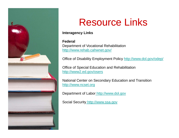

## Resource Links

**Interagency Links** 

**Federal**Department of Vocational Rehabilitation http://www.rehab.cahwnet.gov/

Office of Disability Employment Policy http://www.dol.gov/odep/

Office of Special Education and Rehabilitation http://www2.ed.gov/osers

National Center on Secondary Education and Transition http://www.ncset.org

Department of Labor http://www.dol.gov

Social Security http://www.ssa.gov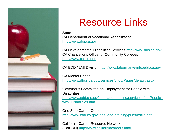

# Resource Links

**State**CA Department of Vocational Rehabilitation http://www.dor.ca.gov

CA Developmental Disabilities Services http://www.dds.ca.gov CA Chancellor's Office for Community Colleges http://www.cccco.edu

CA EDD / LMI Division http://www.labormarketinfo.edd.ca.gov

CA Mental Health http://www.dhcs.ca.gov/services/chdp/Pages/default.aspx

Governor's Committee on Employment for People with **Disabilities** http://www.edd.ca.gov/jobs\_and\_training/services\_for\_People\_ with Disabilities.htm

One Stop Career Centers http://www.edd.ca.gov/jobs\_and\_training/pubs/osfile.pdf

California Career Resource Network (CalCRN) http://www.californiacareers.info/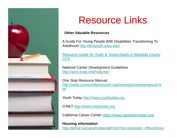

# Resource Links

#### **Other Valuable Resources**

A Guide For Young People With Disabilities Transitioning To Adulthood <u>http://tknlyouth.sdsu.edu/</u>

Resource Guide for Youth & Young Adults in Alameda County **CCS** 

National Career Development Guidelines http://acrn.ovae.org/ncdg.htm

One Stop Resource Manual http://www.communityinclusion.org/onestop/onestopmanual.ht ml

Youth Today http://www.youthtoday.org

O'NET http://www.onetcenter.org

California Career Center <u>https://www.calcareercenter.org/</u>

**Housing information** htt p:// portal.hud. gov/hud portal/HUD?src=/ pro gram \_ offices/hous